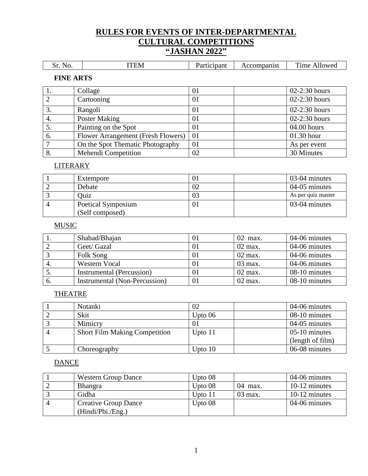# **RULES FOR EVENTS OF INTER-DEPARTMENTAL CULTURAL COMPETITIONS "JASHAN 2022"**

|         |       |                                                                                                                                |                                | $\sim$                     |
|---------|-------|--------------------------------------------------------------------------------------------------------------------------------|--------------------------------|----------------------------|
| N.<br>~ | H N/I | cipant<br>the contract of the contract of the contract of the contract of the contract of the contract of the contract of<br>. | $\cdots$<br>прашы.<br>٦L.<br>. | <sup>'</sup> ime<br>Mlowed |

#### **FINE ARTS**

|     | Collage                            | 01 | $02-2:30$ hours |
|-----|------------------------------------|----|-----------------|
|     | Cartooning                         | 01 | $02-2:30$ hours |
|     | Rangoli                            | 01 | $02-2:30$ hours |
| 4.  | Poster Making                      | 01 | $02-2:30$ hours |
|     | Painting on the Spot               | 01 | $04.00$ hours   |
| -6. | Flower Arrangement (Fresh Flowers) | 01 | $01.30$ hour    |
|     | On the Spot Thematic Photography   | 01 | As per event    |
| 8.  | Mehendi Competition                | 02 | 30 Minutes      |

#### LITERARY

| Extempore                             |    | 03-04 minutes      |
|---------------------------------------|----|--------------------|
| Debate                                |    | 04-05 minutes      |
| Ouiz                                  |    | As per quiz master |
| Poetical Symposium<br>(Self composed) | 01 | 03-04 minutes      |

## **MUSIC**

|    | Shabad/Bhajan                 | $_{01}$ | $02$ max. | 04-06 minutes |
|----|-------------------------------|---------|-----------|---------------|
|    | Geet/ Gazal                   | 01      | $02$ max. | 04-06 minutes |
|    | Folk Song                     | 01      | $02$ max. | 04-06 minutes |
|    | Western Vocal                 | 01      | $03$ max. | 04-06 minutes |
| J. | Instrumental (Percussion)     | 01      | $02$ max. | 08-10 minutes |
| 6. | Instrumental (Non-Percussion) | 01      | $02$ max. | 08-10 minutes |

#### **THEATRE**

| Notanki                              | 02        | 04-06 minutes    |
|--------------------------------------|-----------|------------------|
| Skit                                 | Upto $06$ | 08-10 minutes    |
| Mimicry                              | 01        | 04-05 minutes    |
| <b>Short Film Making Competition</b> | Upto $11$ | $05-10$ minutes  |
|                                      |           | (length of film) |
| Choreography                         | Upto $10$ | 06-08 minutes    |

#### **DANCE**

| <b>Western Group Dance</b>  | Upto $08$ |           | 04-06 minutes |
|-----------------------------|-----------|-----------|---------------|
| <b>Bhangra</b>              | Upto $08$ | $04$ max. | 10-12 minutes |
| Gidha                       | Upto $11$ | $03$ max. | 10-12 minutes |
| <b>Creative Group Dance</b> | Upto $08$ |           | 04-06 minutes |
| (Hindi/Pbi./Eng.)           |           |           |               |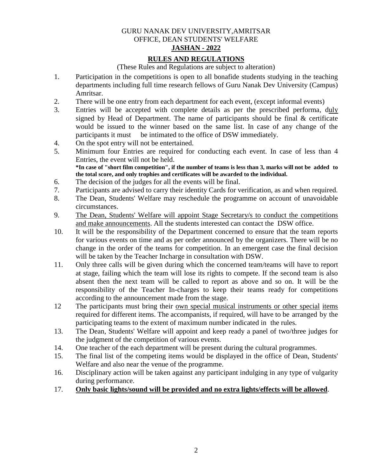#### GURU NANAK DEV UNIVERSITY,AMRITSAR OFFICE, DEAN STUDENTS' WELFARE **JASHAN - 2022**

## **RULES AND REGULATIONS**

(These Rules and Regulations are subject to alteration)

- 1. Participation in the competitions is open to all bonafide students studying in the teaching departments including full time research fellows of Guru Nanak Dev University (Campus) Amritsar.
- 2. There will be one entry from each department for each event, (except informal events)
- 3. Entries will be accepted with complete details as per the prescribed performa, duly signed by Head of Department. The name of participants should be final  $\&$  certificate would be issued to the winner based on the same list. In case of any change of the participants it must be intimated to the office of DSW immediately.
- 4. On the spot entry will not be entertained.
- 5. Minimum four Entries are required for conducting each event. In case of less than 4 Entries, the event will not be held. **\*In case of "short film competition", if the number of teams is less than 3, marks will not be added to**

**the total score, and only trophies and certificates will be awarded to the individual.** 

- 6. The decision of the judges for all the events will be final.
- 7. Participants are advised to carry their identity Cards for verification, as and when required.
- 8. The Dean, Students' Welfare may reschedule the programme on account of unavoidable circumstances.
- 9. The Dean, Students' Welfare will appoint Stage Secretary/s to conduct the competitions and make announcements. All the students interested can contact the DSW office.
- 10. It will be the responsibility of the Department concerned to ensure that the team reports for various events on time and as per order announced by the organizers. There will be no change in the order of the teams for competition. In an emergent case the final decision will be taken by the Teacher Incharge in consultation with DSW.
- 11. Only three calls will be given during which the concerned team/teams will have to report at stage, failing which the team will lose its rights to compete. If the second team is also absent then the next team will be called to report as above and so on. It will be the responsibility of the Teacher In-charges to keep their teams ready for competitions according to the announcement made from the stage.
- 12 The participants must bring their own special musical instruments or other special items required for different items. The accompanists, if required, will have to be arranged by the participating teams to the extent of maximum number indicated in the rules.
- 13. The Dean, Students' Welfare will appoint and keep ready a panel of two/three judges for the judgment of the competition of various events.
- 14. One teacher of the each department will be present during the cultural programmes.
- 15. The final list of the competing items would be displayed in the office of Dean, Students' Welfare and also near the venue of the programme.
- 16. Disciplinary action will be taken against any participant indulging in any type of vulgarity during performance.
- 17. **Only basic lights/sound will be provided and no extra lights/effects will be allowed**.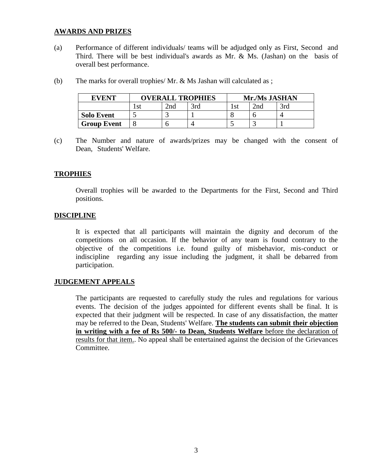## **AWARDS AND PRIZES**

(a) Performance of different individuals/ teams will be adjudged only as First, Second and Third. There will be best individual's awards as Mr. & Ms. (Jashan) on the basis of overall best performance.

| <b>EVENT</b>       | <b>OVERALL TROPHIES</b> |     | Mr./Ms JASHAN |      |      |     |
|--------------------|-------------------------|-----|---------------|------|------|-----|
|                    |                         | 2na | 3rd           | l st | י∩מ? | 3rd |
| <b>Solo Event</b>  |                         |     |               |      |      |     |
| <b>Group Event</b> |                         |     |               |      |      |     |

(b) The marks for overall trophies/ Mr. & Ms Jashan will calculated as ;

(c) The Number and nature of awards/prizes may be changed with the consent of Dean, Students' Welfare.

#### **TROPHIES**

Overall trophies will be awarded to the Departments for the First, Second and Third positions.

#### **DISCIPLINE**

It is expected that all participants will maintain the dignity and decorum of the competitions on all occasion. If the behavior of any team is found contrary to the objective of the competitions i.e. found guilty of misbehavior, mis-conduct or indiscipline regarding any issue including the judgment, it shall be debarred from participation.

#### **JUDGEMENT APPEALS**

The participants are requested to carefully study the rules and regulations for various events. The decision of the judges appointed for different events shall be final. It is expected that their judgment will be respected. In case of any dissatisfaction, the matter may be referred to the Dean, Students' Welfare. **The students can submit their objection in writing with a fee of Rs 500/- to Dean, Students Welfare** before the declaration of results for that item.. No appeal shall be entertained against the decision of the Grievances Committee.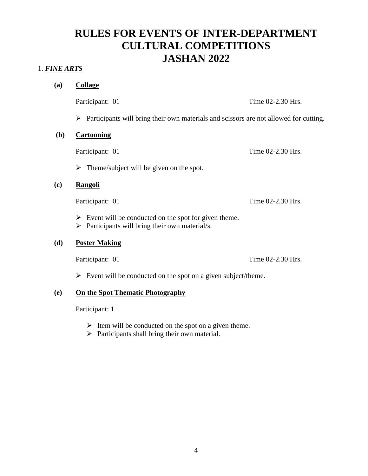# **RULES FOR EVENTS OF INTER-DEPARTMENT CULTURAL COMPETITIONS JASHAN 2022**

## 1. *FINE ARTS*

**(a) Collage**

Participant: 01 Time 02-2.30 Hrs.

 $\triangleright$  Participants will bring their own materials and scissors are not allowed for cutting.

#### **(b) Cartooning**

Participant: 01 Time 02-2.30 Hrs.

 $\triangleright$  Theme/subject will be given on the spot.

## **(c) Rangoli**

Participant: 01 Time 02-2.30 Hrs.

- $\triangleright$  Event will be conducted on the spot for given theme.
- $\triangleright$  Participants will bring their own material/s.

## **(d) Poster Making**

Participant: 01 Time 02-2.30 Hrs.

 $\triangleright$  Event will be conducted on the spot on a given subject/theme.

## **(e) On the Spot Thematic Photography**

Participant: 1

- $\triangleright$  Item will be conducted on the spot on a given theme.
- $\triangleright$  Participants shall bring their own material.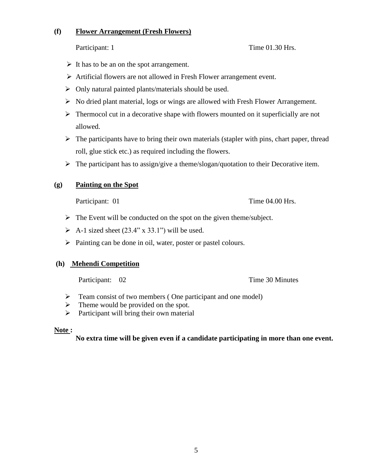## **(f) Flower Arrangement (Fresh Flowers)**

## Participant: 1 Time 01.30 Hrs.

- $\triangleright$  It has to be an on the spot arrangement.
- Artificial flowers are not allowed in Fresh Flower arrangement event.
- $\triangleright$  Only natural painted plants/materials should be used.
- $\triangleright$  No dried plant material, logs or wings are allowed with Fresh Flower Arrangement.
- $\triangleright$  Thermocol cut in a decorative shape with flowers mounted on it superficially are not allowed.
- $\triangleright$  The participants have to bring their own materials (stapler with pins, chart paper, thread roll, glue stick etc.) as required including the flowers.
- $\triangleright$  The participant has to assign/give a theme/slogan/quotation to their Decorative item.

## **(g) Painting on the Spot**

Participant: 01 Time 04.00 Hrs.

- $\triangleright$  The Event will be conducted on the spot on the given theme/subject.
- $\triangleright$  A-1 sized sheet (23.4" x 33.1") will be used.
- > Painting can be done in oil, water, poster or pastel colours.

#### **(h) Mehendi Competition**

Participant: 02 Time 30 Minutes

- $\triangleright$  Team consist of two members (One participant and one model)
- $\triangleright$  Theme would be provided on the spot.
- $\triangleright$  Participant will bring their own material

#### **Note :**

**No extra time will be given even if a candidate participating in more than one event.**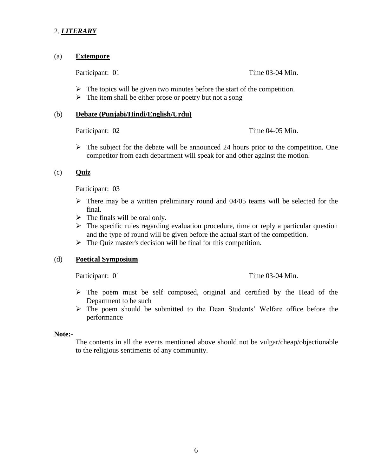## 2. *LITERARY*

#### (a) **Extempore**

Participant: 01 Time 03-04 Min.

- $\triangleright$  The topics will be given two minutes before the start of the competition.
- $\triangleright$  The item shall be either prose or poetry but not a song

#### (b) **Debate (Punjabi/Hindi/English/Urdu)**

Participant: 02 Time 04-05 Min.

 $\triangleright$  The subject for the debate will be announced 24 hours prior to the competition. One competitor from each department will speak for and other against the motion.

## (c) **Quiz**

Participant: 03

- $\triangleright$  There may be a written preliminary round and 04/05 teams will be selected for the final.
- $\triangleright$  The finals will be oral only.
- $\triangleright$  The specific rules regarding evaluation procedure, time or reply a particular question and the type of round will be given before the actual start of the competition.
- $\triangleright$  The Quiz master's decision will be final for this competition.

#### (d) **Poetical Symposium**

Participant: 01 Time 03-04 Min.

- $\triangleright$  The poem must be self composed, original and certified by the Head of the Department to be such
- The poem should be submitted to the Dean Students' Welfare office before the performance

#### **Note:-**

The contents in all the events mentioned above should not be vulgar/cheap/objectionable to the religious sentiments of any community.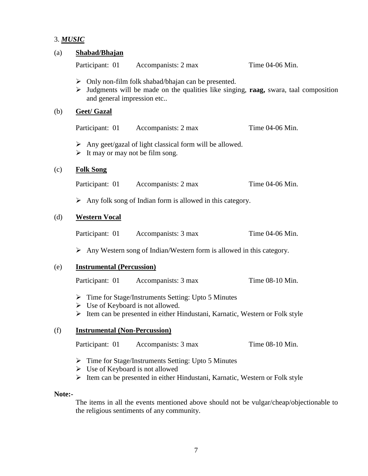# 3. *MUSIC*

| (a)    | Shabad/Bhajan                                             |                                                                                                                                                            |                 |  |  |  |  |  |
|--------|-----------------------------------------------------------|------------------------------------------------------------------------------------------------------------------------------------------------------------|-----------------|--|--|--|--|--|
|        | Participant: 01                                           | Accompanists: 2 max                                                                                                                                        | Time 04-06 Min. |  |  |  |  |  |
|        | ➤<br>and general impression etc                           | $\triangleright$ Only non-film folk shabad/bhajan can be presented.<br>Judgments will be made on the qualities like singing, raag, swara, taal composition |                 |  |  |  |  |  |
| (b)    | <b>Geet/ Gazal</b>                                        |                                                                                                                                                            |                 |  |  |  |  |  |
|        |                                                           | Participant: 01 Accompanists: 2 max                                                                                                                        | Time 04-06 Min. |  |  |  |  |  |
|        | $\triangleright$ It may or may not be film song.          | $\triangleright$ Any geet/gazal of light classical form will be allowed.                                                                                   |                 |  |  |  |  |  |
| (c)    | <b>Folk Song</b>                                          |                                                                                                                                                            |                 |  |  |  |  |  |
|        | Participant: 01                                           | Accompanists: 2 max                                                                                                                                        | Time 04-06 Min. |  |  |  |  |  |
|        |                                                           | $\triangleright$ Any folk song of Indian form is allowed in this category.                                                                                 |                 |  |  |  |  |  |
| (d)    | <b>Western Vocal</b>                                      |                                                                                                                                                            |                 |  |  |  |  |  |
|        | Participant: 01                                           | Accompanists: 3 max                                                                                                                                        | Time 04-06 Min. |  |  |  |  |  |
|        |                                                           | $\triangleright$ Any Western song of Indian/Western form is allowed in this category.                                                                      |                 |  |  |  |  |  |
| (e)    | <b>Instrumental (Percussion)</b>                          |                                                                                                                                                            |                 |  |  |  |  |  |
|        | Participant: 01                                           | Accompanists: 3 max                                                                                                                                        | Time 08-10 Min. |  |  |  |  |  |
|        | $\triangleright$ Use of Keyboard is not allowed.<br>➤     | $\triangleright$ Time for Stage/Instruments Setting: Upto 5 Minutes<br>Item can be presented in either Hindustani, Karnatic, Western or Folk style         |                 |  |  |  |  |  |
| (f)    | <b>Instrumental (Non-Percussion)</b>                      |                                                                                                                                                            |                 |  |  |  |  |  |
|        | Participant: 01                                           | Accompanists: 3 max                                                                                                                                        | Time 08-10 Min. |  |  |  |  |  |
|        | ➤<br>$\triangleright$ Use of Keyboard is not allowed<br>➤ | Time for Stage/Instruments Setting: Upto 5 Minutes<br>Item can be presented in either Hindustani, Karnatic, Western or Folk style                          |                 |  |  |  |  |  |
| Note:- |                                                           |                                                                                                                                                            |                 |  |  |  |  |  |

The items in all the events mentioned above should not be vulgar/cheap/objectionable to the religious sentiments of any community.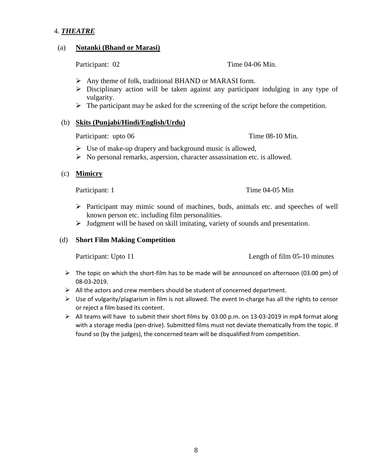## 4. *THEATRE*

#### (a) **Notanki (Bhand or Marasi)**

Participant: 02 Time 04-06 Min.

- $\triangleright$  Any theme of folk, traditional BHAND or MARASI form.
- $\triangleright$  Disciplinary action will be taken against any participant indulging in any type of vulgarity.
- $\triangleright$  The participant may be asked for the screening of the script before the competition.

#### (b) **Skits (Punjabi/Hindi/English/Urdu)**

Participant: upto 06 Time 08-10 Min.

- $\triangleright$  Use of make-up drapery and background music is allowed,
- $\triangleright$  No personal remarks, aspersion, character assassination etc. is allowed.

## (c) **Mimicry**

Participant: 1 Time 04-05 Min

- $\triangleright$  Participant may mimic sound of machines, buds, animals etc. and speeches of well known person etc. including film personalities.
- $\triangleright$  Judgment will be based on skill imitating, variety of sounds and presentation.

#### (d) **Short Film Making Competition**

Participant: Upto 11 Length of film 05-10 minutes

- $\triangleright$  The topic on which the short-film has to be made will be announced on afternoon (03.00 pm) of 08-03-2019.
- $\triangleright$  All the actors and crew members should be student of concerned department.
- $\triangleright$  Use of vulgarity/plagiarism in film is not allowed. The event In-charge has all the rights to censor or reject a film based its content.
- $\triangleright$  All teams will have to submit their short films by 03.00 p.m. on 13-03-2019 in mp4 format along with a storage media (pen-drive). Submitted films must not deviate thematically from the topic. If found so (by the judges), the concerned team will be disqualified from competition.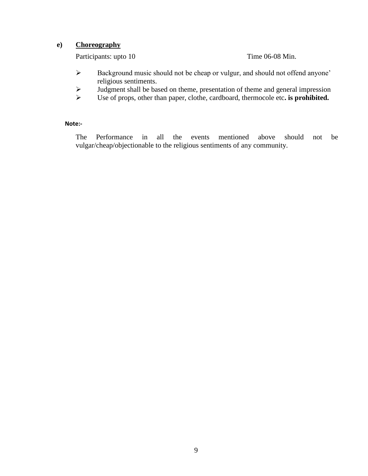## **e) Choreography**

Participants: upto 10 Time 06-08 Min.

- Background music should not be cheap or vulgur, and should not offend anyone' religious sentiments.
- $\triangleright$  Judgment shall be based on theme, presentation of theme and general impression
- Use of props, other than paper, clothe, cardboard, thermocole etc**. is prohibited.**

### **Note:-**

The Performance in all the events mentioned above should not be vulgar/cheap/objectionable to the religious sentiments of any community.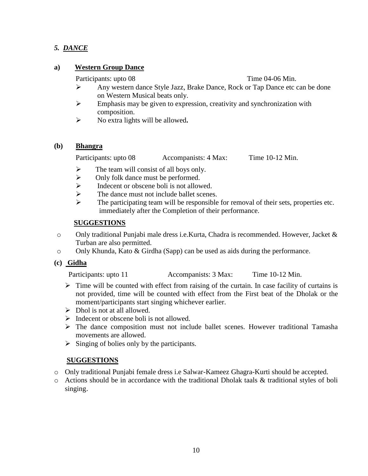## *5. DANCE*

## **a) Western Group Dance**

Participants: upto 08 Time 04-06 Min.

- Any western dance Style Jazz, Brake Dance, Rock or Tap Dance etc can be done on Western Musical beats only.
- $\triangleright$  Emphasis may be given to expression, creativity and synchronization with composition.
- No extra lights will be allowed**.**

## **(b) Bhangra**

Participants: upto 08 Accompanists: 4 Max: Time 10-12 Min.

- $\triangleright$  The team will consist of all boys only.
- $\triangleright$  Only folk dance must be performed.
- $\triangleright$  Indecent or obscene boli is not allowed.
- $\triangleright$  The dance must not include ballet scenes.
- $\triangleright$  The participating team will be responsible for removal of their sets, properties etc. immediately after the Completion of their performance.

## **SUGGESTIONS**

- o Only traditional Punjabi male dress i.e.Kurta, Chadra is recommended. However, Jacket & Turban are also permitted.
- o Only Khunda, Kato & Girdha (Sapp) can be used as aids during the performance.

## **(c) Gidha**

Participants: upto 11 Accompanists: 3 Max: Time 10-12 Min.

- $\triangleright$  Time will be counted with effect from raising of the curtain. In case facility of curtains is not provided, time will be counted with effect from the First beat of the Dholak or the moment/participants start singing whichever earlier.
- $\triangleright$  Dhol is not at all allowed.
- $\triangleright$  Indecent or obscene boli is not allowed.
- $\triangleright$  The dance composition must not include ballet scenes. However traditional Tamasha movements are allowed.
- $\triangleright$  Singing of bolies only by the participants.

## **SUGGESTIONS**

- o Only traditional Punjabi female dress i.e Salwar-Kameez Ghagra-Kurti should be accepted.
- o Actions should be in accordance with the traditional Dholak taals & traditional styles of boli singing.